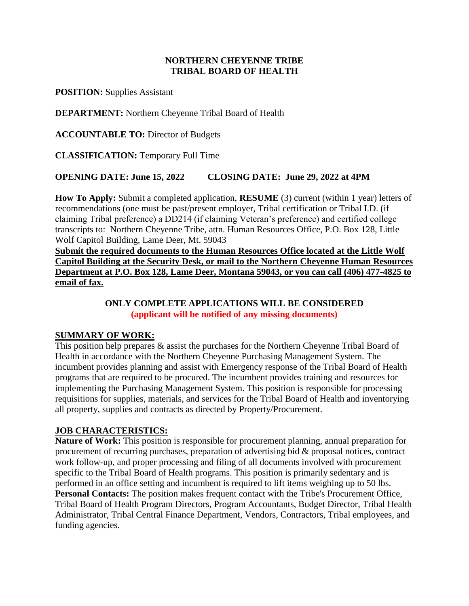### **NORTHERN CHEYENNE TRIBE TRIBAL BOARD OF HEALTH**

**POSITION:** Supplies Assistant

**DEPARTMENT:** Northern Cheyenne Tribal Board of Health

**ACCOUNTABLE TO:** Director of Budgets

**CLASSIFICATION:** Temporary Full Time

### **OPENING DATE: June 15, 2022 CLOSING DATE: June 29, 2022 at 4PM**

**How To Apply:** Submit a completed application, **RESUME** (3) current (within 1 year) letters of recommendations (one must be past/present employer, Tribal certification or Tribal I.D. (if claiming Tribal preference) a DD214 (if claiming Veteran's preference) and certified college transcripts to: Northern Cheyenne Tribe, attn. Human Resources Office, P.O. Box 128, Little Wolf Capitol Building, Lame Deer, Mt. 59043

**Submit the required documents to the Human Resources Office located at the Little Wolf Capitol Building at the Security Desk, or mail to the Northern Cheyenne Human Resources Department at P.O. Box 128, Lame Deer, Montana 59043, or you can call (406) 477-4825 to email of fax.**

### **ONLY COMPLETE APPLICATIONS WILL BE CONSIDERED (applicant will be notified of any missing documents)**

### **SUMMARY OF WORK:**

This position help prepares & assist the purchases for the Northern Cheyenne Tribal Board of Health in accordance with the Northern Cheyenne Purchasing Management System. The incumbent provides planning and assist with Emergency response of the Tribal Board of Health programs that are required to be procured. The incumbent provides training and resources for implementing the Purchasing Management System. This position is responsible for processing requisitions for supplies, materials, and services for the Tribal Board of Health and inventorying all property, supplies and contracts as directed by Property/Procurement.

### **JOB CHARACTERISTICS:**

**Nature of Work:** This position is responsible for procurement planning, annual preparation for procurement of recurring purchases, preparation of advertising bid & proposal notices, contract work follow-up, and proper processing and filing of all documents involved with procurement specific to the Tribal Board of Health programs. This position is primarily sedentary and is performed in an office setting and incumbent is required to lift items weighing up to 50 lbs. **Personal Contacts:** The position makes frequent contact with the Tribe's Procurement Office, Tribal Board of Health Program Directors, Program Accountants, Budget Director, Tribal Health Administrator, Tribal Central Finance Department, Vendors, Contractors, Tribal employees, and funding agencies.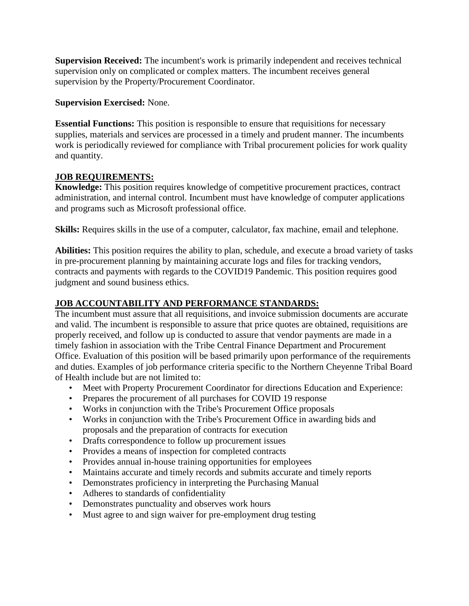**Supervision Received:** The incumbent's work is primarily independent and receives technical supervision only on complicated or complex matters. The incumbent receives general supervision by the Property/Procurement Coordinator.

### **Supervision Exercised:** None.

**Essential Functions:** This position is responsible to ensure that requisitions for necessary supplies, materials and services are processed in a timely and prudent manner. The incumbents work is periodically reviewed for compliance with Tribal procurement policies for work quality and quantity.

# **JOB REQUIREMENTS:**

**Knowledge:** This position requires knowledge of competitive procurement practices, contract administration, and internal control. Incumbent must have knowledge of computer applications and programs such as Microsoft professional office.

**Skills:** Requires skills in the use of a computer, calculator, fax machine, email and telephone.

**Abilities:** This position requires the ability to plan, schedule, and execute a broad variety of tasks in pre-procurement planning by maintaining accurate logs and files for tracking vendors, contracts and payments with regards to the COVID19 Pandemic. This position requires good judgment and sound business ethics.

# **JOB ACCOUNTABILITY AND PERFORMANCE STANDARDS:**

The incumbent must assure that all requisitions, and invoice submission documents are accurate and valid. The incumbent is responsible to assure that price quotes are obtained, requisitions are properly received, and follow up is conducted to assure that vendor payments are made in a timely fashion in association with the Tribe Central Finance Department and Procurement Office. Evaluation of this position will be based primarily upon performance of the requirements and duties. Examples of job performance criteria specific to the Northern Cheyenne Tribal Board of Health include but are not limited to:

- Meet with Property Procurement Coordinator for directions Education and Experience:
- Prepares the procurement of all purchases for COVID 19 response
- Works in conjunction with the Tribe's Procurement Office proposals
- Works in conjunction with the Tribe's Procurement Office in awarding bids and proposals and the preparation of contracts for execution
- Drafts correspondence to follow up procurement issues
- Provides a means of inspection for completed contracts
- Provides annual in-house training opportunities for employees
- Maintains accurate and timely records and submits accurate and timely reports
- Demonstrates proficiency in interpreting the Purchasing Manual
- Adheres to standards of confidentiality
- Demonstrates punctuality and observes work hours
- Must agree to and sign waiver for pre-employment drug testing